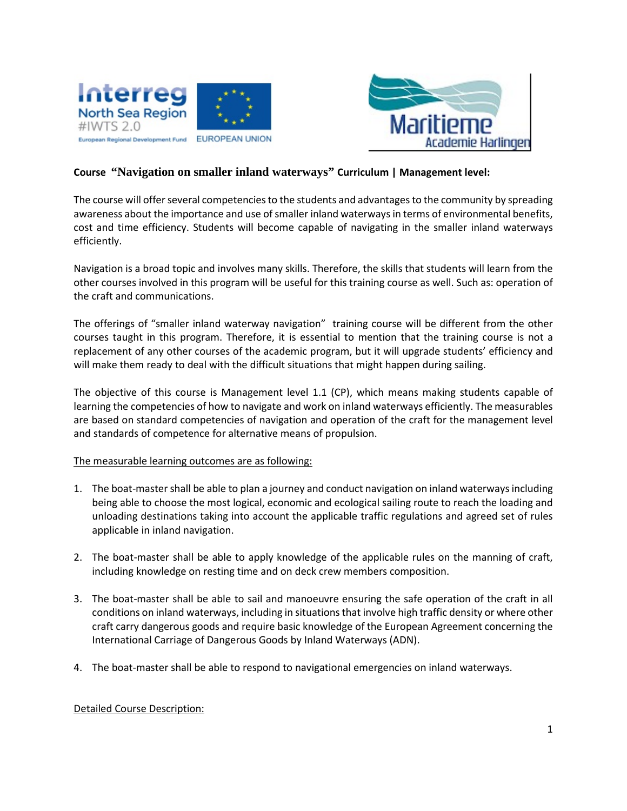



# **Course "Navigation on smaller inland waterways" Curriculum | Management level:**

The course will offer several competencies to the students and advantages to the community by spreading awareness about the importance and use of smaller inland waterways in terms of environmental benefits, cost and time efficiency. Students will become capable of navigating in the smaller inland waterways efficiently.

Navigation is a broad topic and involves many skills. Therefore, the skills that students will learn from the other courses involved in this program will be useful for this training course as well. Such as: operation of the craft and communications.

The offerings of "smaller inland waterway navigation" training course will be different from the other courses taught in this program. Therefore, it is essential to mention that the training course is not a replacement of any other courses of the academic program, but it will upgrade students' efficiency and will make them ready to deal with the difficult situations that might happen during sailing.

The objective of this course is Management level 1.1 (CP), which means making students capable of learning the competencies of how to navigate and work on inland waterways efficiently. The measurables are based on standard competencies of navigation and operation of the craft for the management level and standards of competence for alternative means of propulsion.

## The measurable learning outcomes are as following:

- 1. The boat-master shall be able to plan a journey and conduct navigation on inland waterways including being able to choose the most logical, economic and ecological sailing route to reach the loading and unloading destinations taking into account the applicable traffic regulations and agreed set of rules applicable in inland navigation.
- 2. The boat-master shall be able to apply knowledge of the applicable rules on the manning of craft, including knowledge on resting time and on deck crew members composition.
- 3. The boat-master shall be able to sail and manoeuvre ensuring the safe operation of the craft in all conditions on inland waterways, including in situations that involve high traffic density or where other craft carry dangerous goods and require basic knowledge of the European Agreement concerning the International Carriage of Dangerous Goods by Inland Waterways (ADN).
- 4. The boat-master shall be able to respond to navigational emergencies on inland waterways.

#### Detailed Course Description: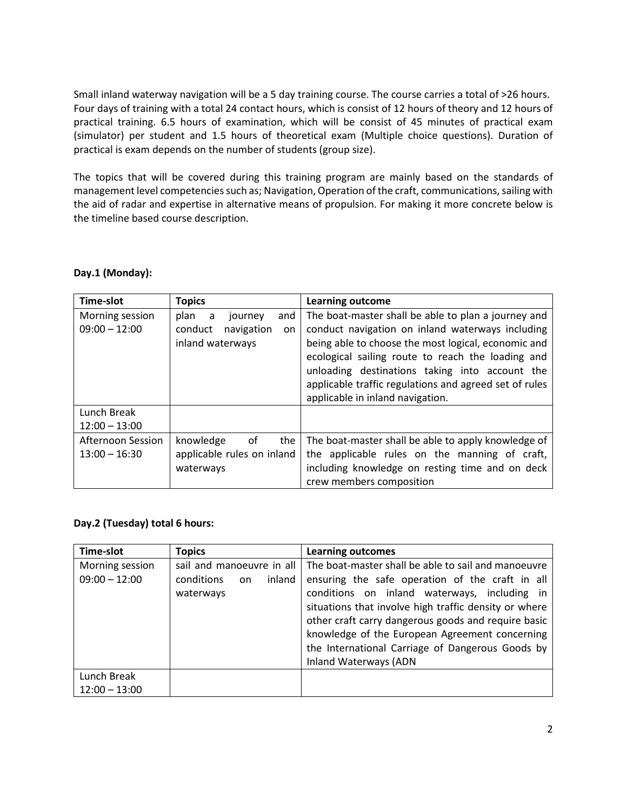Small inland waterway navigation will be a 5 day training course. The course carries a total of >26 hours. Four days of training with a total 24 contact hours, which is consist of 12 hours of theory and 12 hours of practical training. 6.5 hours of examination, which will be consist of 45 minutes of practical exam (simulator) per student and 1.5 hours of theoretical exam (Multiple choice questions). Duration of practical is exam depends on the number of students (group size).

The topics that will be covered during this training program are mainly based on the standards of management level competenciessuch as; Navigation, Operation of the craft, communications, sailing with the aid of radar and expertise in alternative means of propulsion. For making it more concrete below is the timeline based course description.

| <b>Time-slot</b>  | <b>Topics</b>               | Learning outcome                                       |
|-------------------|-----------------------------|--------------------------------------------------------|
| Morning session   | plan<br>and<br>a<br>journey | The boat-master shall be able to plan a journey and    |
| $09:00 - 12:00$   | conduct<br>navigation<br>on | conduct navigation on inland waterways including       |
|                   | inland waterways            | being able to choose the most logical, economic and    |
|                   |                             | ecological sailing route to reach the loading and      |
|                   |                             | unloading destinations taking into account the         |
|                   |                             | applicable traffic regulations and agreed set of rules |
|                   |                             | applicable in inland navigation.                       |
| Lunch Break       |                             |                                                        |
| $12:00 - 13:00$   |                             |                                                        |
| Afternoon Session | knowledge<br>0f<br>the      | The boat-master shall be able to apply knowledge of    |
| $13:00 - 16:30$   | applicable rules on inland  | the applicable rules on the manning of craft,          |
|                   | waterways                   | including knowledge on resting time and on deck        |
|                   |                             | crew members composition                               |

## **Day.1 (Monday):**

## **Day.2 (Tuesday) total 6 hours:**

| Time-slot                          | <b>Topics</b>                                                        | <b>Learning outcomes</b>                                                                                                                                                                                                                                                                                                                                                                              |
|------------------------------------|----------------------------------------------------------------------|-------------------------------------------------------------------------------------------------------------------------------------------------------------------------------------------------------------------------------------------------------------------------------------------------------------------------------------------------------------------------------------------------------|
| Morning session<br>$09:00 - 12:00$ | sail and manoeuvre in all<br>conditions<br>inland<br>on<br>waterways | The boat-master shall be able to sail and manoeuvre<br>ensuring the safe operation of the craft in all<br>conditions on inland waterways, including in<br>situations that involve high traffic density or where<br>other craft carry dangerous goods and require basic<br>knowledge of the European Agreement concerning<br>the International Carriage of Dangerous Goods by<br>Inland Waterways (ADN |
| Lunch Break<br>$12:00 - 13:00$     |                                                                      |                                                                                                                                                                                                                                                                                                                                                                                                       |